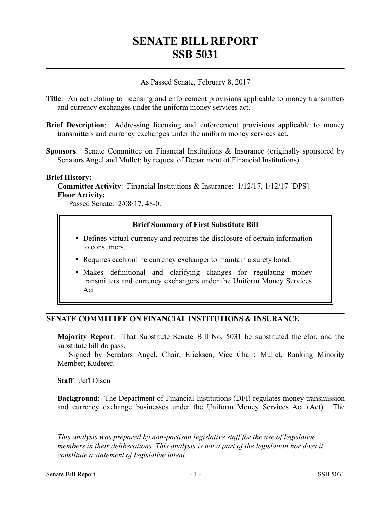# **SENATE BILL REPORT SSB 5031**

As Passed Senate, February 8, 2017

- **Title**: An act relating to licensing and enforcement provisions applicable to money transmitters and currency exchanges under the uniform money services act.
- **Brief Description**: Addressing licensing and enforcement provisions applicable to money transmitters and currency exchanges under the uniform money services act.
- **Sponsors**: Senate Committee on Financial Institutions & Insurance (originally sponsored by Senators Angel and Mullet; by request of Department of Financial Institutions).

#### **Brief History:**

**Committee Activity**: Financial Institutions & Insurance: 1/12/17, 1/12/17 [DPS]. **Floor Activity:**

Passed Senate: 2/08/17, 48-0.

### **Brief Summary of First Substitute Bill**

- Defines virtual currency and requires the disclosure of certain information to consumers.
- Requires each online currency exchanger to maintain a surety bond.
- Makes definitional and clarifying changes for regulating money transmitters and currency exchangers under the Uniform Money Services Act.

## **SENATE COMMITTEE ON FINANCIAL INSTITUTIONS & INSURANCE**

**Majority Report**: That Substitute Senate Bill No. 5031 be substituted therefor, and the substitute bill do pass.

Signed by Senators Angel, Chair; Ericksen, Vice Chair; Mullet, Ranking Minority Member; Kuderer.

**Staff**: Jeff Olsen

––––––––––––––––––––––

**Background**: The Department of Financial Institutions (DFI) regulates money transmission and currency exchange businesses under the Uniform Money Services Act (Act). The

*This analysis was prepared by non-partisan legislative staff for the use of legislative members in their deliberations. This analysis is not a part of the legislation nor does it constitute a statement of legislative intent.*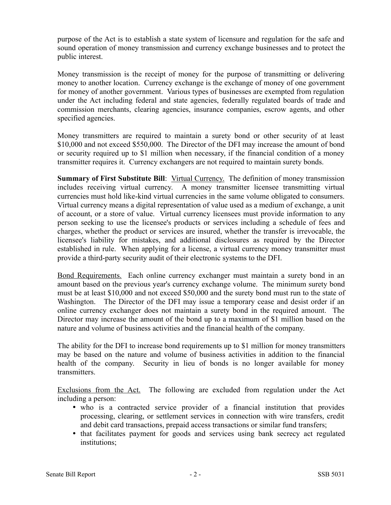purpose of the Act is to establish a state system of licensure and regulation for the safe and sound operation of money transmission and currency exchange businesses and to protect the public interest.

Money transmission is the receipt of money for the purpose of transmitting or delivering money to another location. Currency exchange is the exchange of money of one government for money of another government. Various types of businesses are exempted from regulation under the Act including federal and state agencies, federally regulated boards of trade and commission merchants, clearing agencies, insurance companies, escrow agents, and other specified agencies.

Money transmitters are required to maintain a surety bond or other security of at least \$10,000 and not exceed \$550,000. The Director of the DFI may increase the amount of bond or security required up to \$1 million when necessary, if the financial condition of a money transmitter requires it. Currency exchangers are not required to maintain surety bonds.

**Summary of First Substitute Bill:** Virtual Currency. The definition of money transmission includes receiving virtual currency. A money transmitter licensee transmitting virtual currencies must hold like-kind virtual currencies in the same volume obligated to consumers. Virtual currency means a digital representation of value used as a medium of exchange, a unit of account, or a store of value. Virtual currency licensees must provide information to any person seeking to use the licensee's products or services including a schedule of fees and charges, whether the product or services are insured, whether the transfer is irrevocable, the licensee's liability for mistakes, and additional disclosures as required by the Director established in rule. When applying for a license, a virtual currency money transmitter must provide a third-party security audit of their electronic systems to the DFI.

Bond Requirements. Each online currency exchanger must maintain a surety bond in an amount based on the previous year's currency exchange volume. The minimum surety bond must be at least \$10,000 and not exceed \$50,000 and the surety bond must run to the state of Washington. The Director of the DFI may issue a temporary cease and desist order if an online currency exchanger does not maintain a surety bond in the required amount. The Director may increase the amount of the bond up to a maximum of \$1 million based on the nature and volume of business activities and the financial health of the company.

The ability for the DFI to increase bond requirements up to \$1 million for money transmitters may be based on the nature and volume of business activities in addition to the financial health of the company. Security in lieu of bonds is no longer available for money transmitters.

Exclusions from the Act. The following are excluded from regulation under the Act including a person:

- who is a contracted service provider of a financial institution that provides processing, clearing, or settlement services in connection with wire transfers, credit and debit card transactions, prepaid access transactions or similar fund transfers;
- that facilitates payment for goods and services using bank secrecy act regulated institutions;